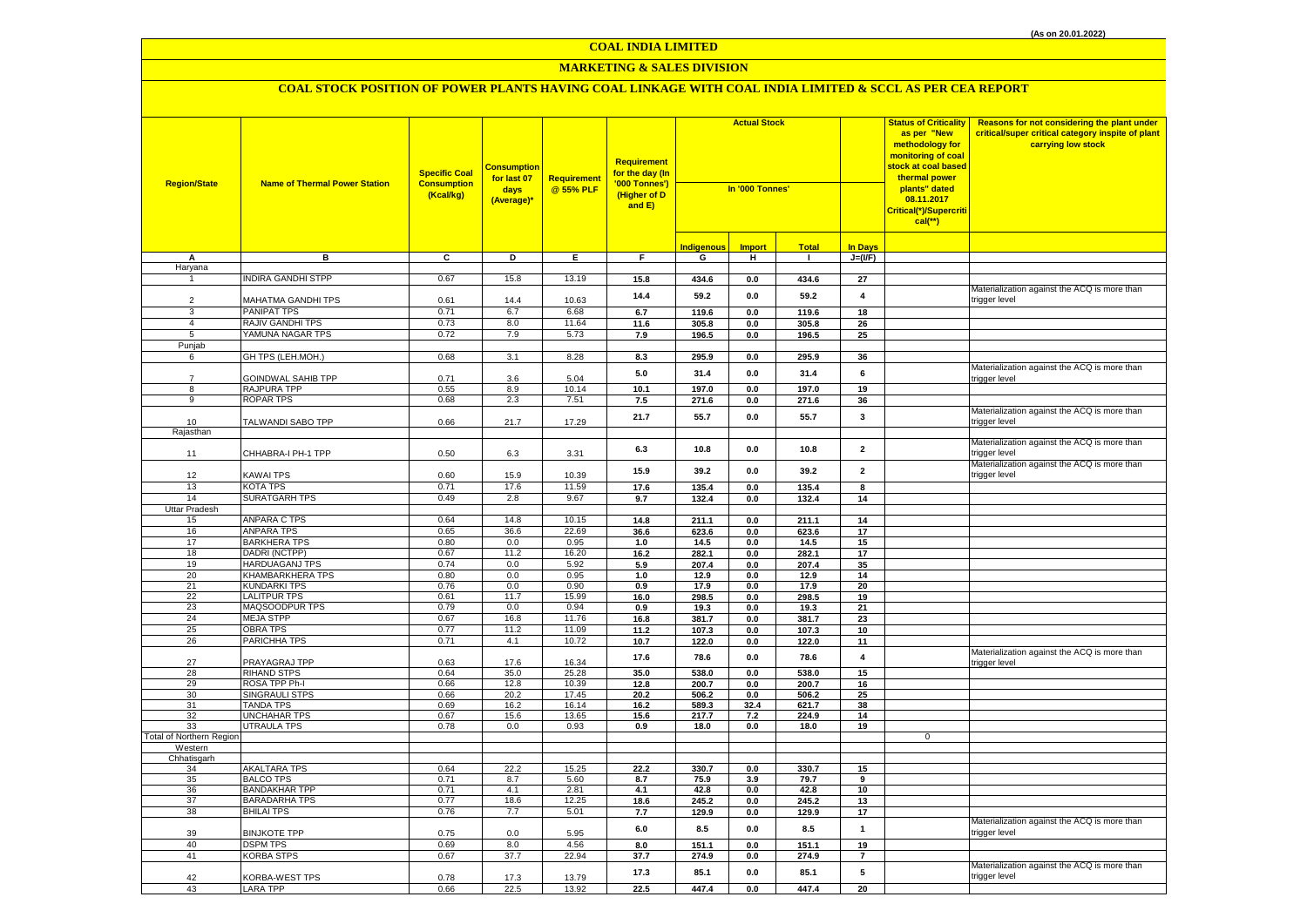## **MARKETING & SALES DIVISION**

| <b>Region/State</b>             | <b>Name of Thermal Power Station</b>       | <b>Specific Coal</b><br><b>Consumption</b><br>(Kcal/kg) | <b>Consumption</b><br>for last 07<br>days<br>(Average)* | Requirement<br>@ 55% PLF | Requirement<br>for the day (In<br>'000 Tonnes')<br>(Higher of D<br>and E) | <b>Actual Stock</b><br>In '000 Tonnes' |                |                | <b>Status of Criticality</b><br>as per "New<br>methodology for<br>monitoring of coal<br><mark>stock at coal based</mark><br>thermal power<br>plants" dated<br>08.11.2017<br>Critical(*)/Supercriti<br>$cal$ (**) | Reasons for not considering the plant under<br>critical/super critical category inspite of plant<br>carrying low stock |                                                               |
|---------------------------------|--------------------------------------------|---------------------------------------------------------|---------------------------------------------------------|--------------------------|---------------------------------------------------------------------------|----------------------------------------|----------------|----------------|------------------------------------------------------------------------------------------------------------------------------------------------------------------------------------------------------------------|------------------------------------------------------------------------------------------------------------------------|---------------------------------------------------------------|
|                                 |                                            |                                                         |                                                         |                          |                                                                           | <b>Indigenous</b>                      | <b>Import</b>  | <b>Total</b>   | <b>In Days</b>                                                                                                                                                                                                   |                                                                                                                        |                                                               |
| A                               | в                                          | c                                                       | D                                                       | E                        | F.                                                                        | G                                      | н              | $\mathbf{1}$   | $J=(VF)$                                                                                                                                                                                                         |                                                                                                                        |                                                               |
| Haryana<br>$\mathbf{1}$         | NDIRA GANDHI STPP                          | 0.67                                                    | 15.8                                                    | 13.19                    | 15.8                                                                      | 434.6                                  | $0.0\,$        | 434.6          | 27                                                                                                                                                                                                               |                                                                                                                        |                                                               |
|                                 |                                            |                                                         |                                                         |                          |                                                                           |                                        |                |                |                                                                                                                                                                                                                  |                                                                                                                        | Materialization against the ACQ is more than                  |
| $\overline{2}$                  | MAHATMA GANDHI TPS                         | 0.61                                                    | 14.4                                                    | 10.63                    | 14.4                                                                      | 59.2                                   | 0.0            | 59.2           | 4                                                                                                                                                                                                                |                                                                                                                        | trigger level                                                 |
| 3                               | PANIPAT TPS                                | 0.71                                                    | 6.7                                                     | 6.68                     | 6.7                                                                       | 119.6                                  | 0.0            | 119.6          | 18                                                                                                                                                                                                               |                                                                                                                        |                                                               |
| $\overline{4}$                  | RAJIV GANDHI TPS                           | 0.73                                                    | 8.0                                                     | 11.64                    | 11.6                                                                      | 305.8                                  | 0.0            | 305.8          | 26                                                                                                                                                                                                               |                                                                                                                        |                                                               |
| 5                               | YAMUNA NAGAR TPS                           | 0.72                                                    | 7.9                                                     | 5.73                     | 7.9                                                                       | 196.5                                  | 0.0            | 196.5          | 25                                                                                                                                                                                                               |                                                                                                                        |                                                               |
| Punjab                          |                                            |                                                         |                                                         |                          |                                                                           |                                        |                |                |                                                                                                                                                                                                                  |                                                                                                                        |                                                               |
| 6                               | GH TPS (LEH.MOH.)                          | 0.68                                                    | 3.1                                                     | 8.28                     | 8.3                                                                       | 295.9                                  | $0.0\,$        | 295.9          | 36                                                                                                                                                                                                               |                                                                                                                        |                                                               |
| $\overline{7}$                  | <b>GOINDWAL SAHIB TPP</b>                  | 0.71                                                    | 3.6                                                     | 5.04                     | 5.0                                                                       | 31.4                                   | 0.0            | 31.4           | 6                                                                                                                                                                                                                |                                                                                                                        | Materialization against the ACQ is more than<br>rigger level  |
| $\overline{8}$                  | RAJPURA TPP                                | 0.55                                                    | 8.9                                                     | 10.14                    | 10.1                                                                      | 197.0                                  | 0.0            | 197.0          | 19                                                                                                                                                                                                               |                                                                                                                        |                                                               |
| 9                               | <b>ROPAR TPS</b>                           | 0.68                                                    | 2.3                                                     | 7.51                     | 7.5                                                                       | 271.6                                  | 0.0            | 271.6          | 36                                                                                                                                                                                                               |                                                                                                                        |                                                               |
|                                 |                                            |                                                         |                                                         |                          |                                                                           |                                        |                |                |                                                                                                                                                                                                                  |                                                                                                                        | Materialization against the ACQ is more than                  |
| 10                              | TALWANDI SABO TPP                          | 0.66                                                    | 21.7                                                    | 17.29                    | 21.7                                                                      | 55.7                                   | 0.0            | 55.7           | 3                                                                                                                                                                                                                |                                                                                                                        | rigger level:                                                 |
| Rajasthan                       |                                            |                                                         |                                                         |                          |                                                                           |                                        |                |                |                                                                                                                                                                                                                  |                                                                                                                        |                                                               |
| 11                              | CHHABRA-I PH-1 TPP                         | 0.50                                                    | 6.3                                                     | 3.31                     | 6.3                                                                       | 10.8                                   | 0.0            | 10.8           | $\overline{2}$                                                                                                                                                                                                   |                                                                                                                        | Materialization against the ACQ is more than<br>rigger level: |
|                                 |                                            |                                                         |                                                         |                          | 15.9                                                                      | 39.2                                   | 0.0            | 39.2           | $\overline{2}$                                                                                                                                                                                                   |                                                                                                                        | Materialization against the ACQ is more than<br>rigger level  |
| 12<br>13                        | <b>KAWAI TPS</b><br>KOTA TPS               | 0.60<br>0.71                                            | 15.9<br>17.6                                            | 10.39<br>11.59           | 17.6                                                                      | 135.4                                  | $0.0\,$        | 135.4          | 8                                                                                                                                                                                                                |                                                                                                                        |                                                               |
| 14                              | <b>SURATGARH TPS</b>                       | 0.49                                                    | 2.8                                                     | 9.67                     | 9.7                                                                       | 132.4                                  | 0.0            | 132.4          | 14                                                                                                                                                                                                               |                                                                                                                        |                                                               |
| Uttar Pradesh                   |                                            |                                                         |                                                         |                          |                                                                           |                                        |                |                |                                                                                                                                                                                                                  |                                                                                                                        |                                                               |
| 15                              | ANPARA C TPS                               | 0.64                                                    | 14.8                                                    | 10.15                    | 14.8                                                                      | 211.1                                  | 0.0            | 211.1          | 14                                                                                                                                                                                                               |                                                                                                                        |                                                               |
| 16                              | <b>ANPARA TPS</b>                          | 0.65                                                    | 36.6                                                    | 22.69                    | 36.6                                                                      | 623.6                                  | 0.0            | 623.6          | 17                                                                                                                                                                                                               |                                                                                                                        |                                                               |
| 17                              | <b>BARKHERA TPS</b>                        | 0.80                                                    | 0.0                                                     | 0.95                     | 1.0                                                                       | 14.5                                   | 0.0            | 14.5           | 15                                                                                                                                                                                                               |                                                                                                                        |                                                               |
| 18                              | DADRI (NCTPP)                              | 0.67                                                    | 11.2                                                    | 16.20                    | 16.2                                                                      | 282.1                                  | 0.0            | 282.1          | 17                                                                                                                                                                                                               |                                                                                                                        |                                                               |
| 19                              | <b>HARDUAGANJ TPS</b>                      | 0.74                                                    | 0.0                                                     | 5.92                     | 5.9                                                                       | 207.4                                  | 0.0            | 207.4          | 35                                                                                                                                                                                                               |                                                                                                                        |                                                               |
| 20<br>21                        | KHAMBARKHERA TPS                           | 0.80                                                    | 0.0<br>0.0                                              | 0.95<br>0.90             | 1.0                                                                       | 12.9                                   | 0.0            | 12.9           | 14                                                                                                                                                                                                               |                                                                                                                        |                                                               |
| 22                              | <b>KUNDARKI TPS</b><br><b>LALITPUR TPS</b> | 0.76<br>0.61                                            | 11.7                                                    | 15.99                    | 0.9<br>16.0                                                               | 17.9<br>298.5                          | $0.0\,$<br>0.0 | 17.9<br>298.5  | 20<br>19                                                                                                                                                                                                         |                                                                                                                        |                                                               |
| 23                              | MAQSOODPUR TPS                             | 0.79                                                    | 0.0                                                     | 0.94                     | 0.9                                                                       | 19.3                                   | 0.0            | 19.3           | 21                                                                                                                                                                                                               |                                                                                                                        |                                                               |
| 24                              | <b>MEJA STPP</b>                           | 0.67                                                    | 16.8                                                    | 11.76                    | 16.8                                                                      | 381.7                                  | 0.0            | 381.7          | 23                                                                                                                                                                                                               |                                                                                                                        |                                                               |
| 25                              | <b>OBRA TPS</b>                            | 0.77                                                    | 11.2                                                    | 11.09                    | 11.2                                                                      | 107.3                                  | 0.0            | 107.3          | 10                                                                                                                                                                                                               |                                                                                                                        |                                                               |
| 26                              | PARICHHA TPS                               | 0.71                                                    | 4.1                                                     | 10.72                    | 10.7                                                                      | 122.0                                  | 0.0            | 122.0          | 11                                                                                                                                                                                                               |                                                                                                                        |                                                               |
| 27                              | PRAYAGRAJ TPP                              | 0.63                                                    | 17.6                                                    | 16.34                    | 17.6                                                                      | 78.6                                   | 0.0            | 78.6           | 4                                                                                                                                                                                                                |                                                                                                                        | Materialization against the ACQ is more than<br>trigger level |
| 28                              | <b>RIHAND STPS</b>                         | 0.64                                                    | 35.0                                                    | 25.28                    | 35.0                                                                      | 538.0                                  | 0.0            | 538.0          | 15                                                                                                                                                                                                               |                                                                                                                        |                                                               |
| 29<br>30                        | ROSA TPP Ph-I<br><b>SINGRAULI STPS</b>     | 0.66<br>0.66                                            | 12.8<br>20.2                                            | 10.39<br>17.45           | 12.8<br>20.2                                                              | 200.7<br>506.2                         | 0.0<br>0.0     | 200.7<br>506.2 | 16<br>25                                                                                                                                                                                                         |                                                                                                                        |                                                               |
| 31                              | TANDA TPS                                  | 0.69                                                    | 16.2                                                    | 16.14                    | 16.2                                                                      | 589.3                                  | 32.4           | 621.7          | 38                                                                                                                                                                                                               |                                                                                                                        |                                                               |
| 32                              | UNCHAHAR TPS                               | 0.67                                                    | 15.6                                                    | 13.65                    | 15.6                                                                      | 217.7                                  | 7.2            | 224.9          | 14                                                                                                                                                                                                               |                                                                                                                        |                                                               |
| 33                              | UTRAULA TPS                                | 0.78                                                    | 0.0                                                     | 0.93                     | 0.9                                                                       | 18.0                                   | 0.0            | 18.0           | 19                                                                                                                                                                                                               |                                                                                                                        |                                                               |
| <b>Total of Northern Regior</b> |                                            |                                                         |                                                         |                          |                                                                           |                                        |                |                |                                                                                                                                                                                                                  | $\overline{0}$                                                                                                         |                                                               |
| Western                         |                                            |                                                         |                                                         |                          |                                                                           |                                        |                |                |                                                                                                                                                                                                                  |                                                                                                                        |                                                               |
| Chhatisgarh                     | AKALTARA TPS                               | 0.64                                                    | 22.2                                                    | 15.25                    | 22.2                                                                      | 330.7                                  | 0.0            | 330.7          | 15                                                                                                                                                                                                               |                                                                                                                        |                                                               |
| 34<br>35                        | <b>BALCO TPS</b>                           | 0.71                                                    | 8.7                                                     | 5.60                     | 8.7                                                                       | 75.9                                   | 3.9            | 79.7           | 9                                                                                                                                                                                                                |                                                                                                                        |                                                               |
| 36                              | <b>BANDAKHAR TPP</b>                       | 0.71                                                    | 4.1                                                     | 2.81                     | 4.1                                                                       | 42.8                                   | 0.0            | 42.8           | 10                                                                                                                                                                                                               |                                                                                                                        |                                                               |
| 37                              | <b>BARADARHA TPS</b>                       | 0.77                                                    | 18.6                                                    | 12.25                    | 18.6                                                                      | 245.2                                  | 0.0            | 245.2          | 13                                                                                                                                                                                                               |                                                                                                                        |                                                               |
| 38                              | <b>BHILAI TPS</b>                          | 0.76                                                    | 7.7                                                     | 5.01                     | 7.7                                                                       | 129.9                                  | 0.0            | 129.9          | 17                                                                                                                                                                                                               |                                                                                                                        |                                                               |
| 39                              | <b>BINJKOTE TPP</b>                        | 0.75                                                    | 0.0                                                     | 5.95                     | $6.0\,$                                                                   | 8.5                                    | $0.0\,$        | 8.5            | $\overline{1}$                                                                                                                                                                                                   |                                                                                                                        | Materialization against the ACQ is more than<br>rigger level: |
| 40                              | <b>DSPM TPS</b>                            | 0.69                                                    | 8.0                                                     | 4.56                     | 8.0                                                                       | 151.1                                  | 0.0            | 151.1          | 19                                                                                                                                                                                                               |                                                                                                                        |                                                               |
| 41                              | <b>KORBA STPS</b>                          | 0.67                                                    | 37.7                                                    | 22.94                    | 37.7                                                                      | 274.9                                  | $0.0\,$        | 274.9          | $\overline{7}$                                                                                                                                                                                                   |                                                                                                                        |                                                               |
| 42                              | <b>KORBA-WEST TPS</b>                      | 0.78                                                    | 17.3                                                    | 13.79                    | 17.3                                                                      | 85.1                                   | 0.0            | 85.1           | 5                                                                                                                                                                                                                |                                                                                                                        | Materialization against the ACQ is more than<br>trigger level |
| 43                              | <b>LARA TPP</b>                            | 0.66                                                    | 22.5                                                    | 13.92                    | 22.5                                                                      | 447.4                                  | 0.0            | 447.4          | 20                                                                                                                                                                                                               |                                                                                                                        |                                                               |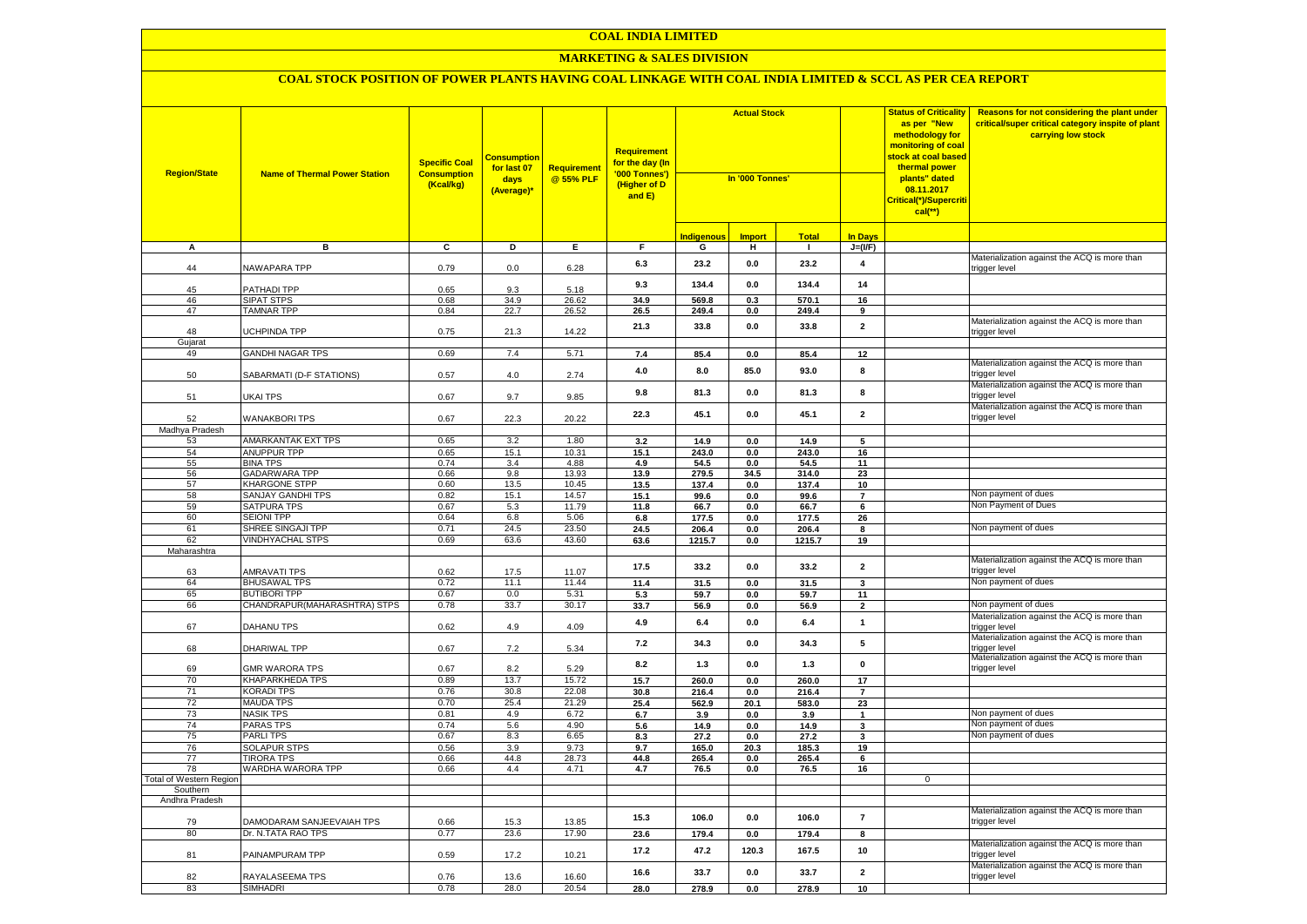#### **MARKETING & SALES DIVISION**

| <b>Region/State</b>            | <b>Name of Thermal Power Station</b>         | <b>Specific Coal</b><br><b>Consumption</b><br>(Kcal/kg) | <b>Consumption</b><br>for last 07<br>days<br>(Average)* | Requirement<br>@ 55% PLF | Requirement<br>f <mark>or the day (In</mark><br>'000 Tonnes')<br>(Higher of D<br>and E) | <b>Actual Stock</b><br>In '000 Tonnes' |               |                | <b>Status of Criticality</b><br>as per "New<br>methodology for<br>monitoring of coal<br><mark>stock at coal based</mark><br>thermal power<br>plants" dated<br>08.11.2017<br>Critical(*)/Supercriti<br>$cal$ (**) | Reasons for not considering the plant under<br>critical/super critical category inspite of plant<br>carrying low stock |                                                                     |
|--------------------------------|----------------------------------------------|---------------------------------------------------------|---------------------------------------------------------|--------------------------|-----------------------------------------------------------------------------------------|----------------------------------------|---------------|----------------|------------------------------------------------------------------------------------------------------------------------------------------------------------------------------------------------------------------|------------------------------------------------------------------------------------------------------------------------|---------------------------------------------------------------------|
|                                |                                              |                                                         |                                                         |                          |                                                                                         | <b>Indigenous</b>                      | <b>Import</b> | <b>Total</b>   | <b>In Days</b>                                                                                                                                                                                                   |                                                                                                                        |                                                                     |
| А                              | в                                            | $\overline{c}$                                          | Þ                                                       | E                        | $\overline{F}$                                                                          | G                                      | н             | $\blacksquare$ | $J=(VF)$                                                                                                                                                                                                         |                                                                                                                        |                                                                     |
| 44                             | <b>NAWAPARA TPP</b>                          | 0.79                                                    | 0.0                                                     | 6.28                     | 6.3                                                                                     | 23.2                                   | 0.0           | 23.2           | 4                                                                                                                                                                                                                |                                                                                                                        | Materialization against the ACQ is more than<br>rigger level        |
| 45                             | PATHADI TPP                                  | 0.65                                                    | 9.3                                                     | 5.18                     | 9.3                                                                                     | 134.4                                  | 0.0           | 134.4          | 14                                                                                                                                                                                                               |                                                                                                                        |                                                                     |
| 46                             | <b>SIPAT STPS</b>                            | 0.68                                                    | 34.9                                                    | 26.62                    | 34.9                                                                                    | 569.8                                  | 0.3           | 570.1          | 16                                                                                                                                                                                                               |                                                                                                                        |                                                                     |
| 47                             | <b>TAMNAR TPP</b>                            | 0.84                                                    | 22.7                                                    | $26.\overline{52}$       | 26.5                                                                                    | 249.4                                  | 0.0           | 249.4          | 9                                                                                                                                                                                                                |                                                                                                                        |                                                                     |
| 48<br>Gujarat                  | UCHPINDA TPP                                 | 0.75                                                    | 21.3                                                    | 14.22                    | 21.3                                                                                    | 33.8                                   | 0.0           | 33.8           | $\overline{2}$                                                                                                                                                                                                   |                                                                                                                        | Materialization against the ACQ is more than<br>trigger level       |
| 49                             | <b>GANDHI NAGAR TPS</b>                      | 0.69                                                    | 7.4                                                     | 5.71                     | 7.4                                                                                     | 85.4                                   | 0.0           | 85.4           | 12                                                                                                                                                                                                               |                                                                                                                        |                                                                     |
| 50                             | SABARMATI (D-F STATIONS)                     | 0.57                                                    | 4.0                                                     | 2.74                     | 4.0                                                                                     | 8.0                                    | 85.0          | 93.0           | 8                                                                                                                                                                                                                |                                                                                                                        | Materialization against the ACQ is more than<br>trigger level       |
| 51                             | UKAI TPS                                     | 0.67                                                    | 9.7                                                     | 9.85                     | 9.8                                                                                     | 81.3                                   | 0.0           | 81.3           | 8                                                                                                                                                                                                                |                                                                                                                        | Materialization against the ACQ is more than<br>rigger level:       |
| 52                             | <b>WANAKBORI TPS</b>                         | 0.67                                                    | 22.3                                                    | 20.22                    | 22.3                                                                                    | 45.1                                   | 0.0           | 45.1           | $\overline{\mathbf{2}}$                                                                                                                                                                                          |                                                                                                                        | Materialization against the ACQ is more than<br>trigger level       |
| Madhya Pradesh                 |                                              |                                                         |                                                         |                          |                                                                                         |                                        |               |                |                                                                                                                                                                                                                  |                                                                                                                        |                                                                     |
| 53                             | <b>AMARKANTAK EXT TPS</b>                    | 0.65                                                    | 3.2                                                     | 1.80                     | 3.2                                                                                     | 14.9                                   | 0.0           | 14.9           | 5                                                                                                                                                                                                                |                                                                                                                        |                                                                     |
| 54                             | <b>ANUPPUR TPP</b>                           | 0.65                                                    | 15.1                                                    | 10.31                    | 15.1                                                                                    | 243.0                                  | 0.0           | 243.0          | 16                                                                                                                                                                                                               |                                                                                                                        |                                                                     |
| 55                             | <b>BINA TPS</b>                              | 0.74                                                    | 3.4                                                     | 4.88                     | 4.9                                                                                     | 54.5                                   | 0.0           | 54.5           | 11                                                                                                                                                                                                               |                                                                                                                        |                                                                     |
| 56<br>57                       | <b>GADARWARA TPP</b><br><b>KHARGONE STPP</b> | 0.66<br>0.60                                            | 9.8<br>13.5                                             | 13.93<br>10.45           | 13.9<br>13.5                                                                            | 279.5<br>137.4                         | 34.5<br>0.0   | 314.0<br>137.4 | 23<br>10                                                                                                                                                                                                         |                                                                                                                        |                                                                     |
| 58                             | <b>SANJAY GANDHI TPS</b>                     | 0.82                                                    | 15.1                                                    | 14.57                    | 15.1                                                                                    | 99.6                                   | 0.0           | 99.6           | $\overline{7}$                                                                                                                                                                                                   |                                                                                                                        | Non payment of dues                                                 |
| 59                             | <b>SATPURA TPS</b>                           | 0.67                                                    | 5.3                                                     | 11.79                    | 11.8                                                                                    | 66.7                                   | 0.0           | 66.7           | $6\overline{6}$                                                                                                                                                                                                  |                                                                                                                        | Non Payment of Dues                                                 |
| 60                             | <b>SEIONI TPP</b>                            | 0.64                                                    | 6.8                                                     | 5.06                     | 6.8                                                                                     | 177.5                                  | 0.0           | 177.5          | 26                                                                                                                                                                                                               |                                                                                                                        |                                                                     |
| 61                             | SHREE SINGAJI TPP                            | 0.71                                                    | 24.5                                                    | 23.50                    | 24.5                                                                                    | 206.4                                  | 0.0           | 206.4          | 8                                                                                                                                                                                                                |                                                                                                                        | Non payment of dues                                                 |
| 62                             | <b>VINDHYACHAL STPS</b>                      | 0.69                                                    | 63.6                                                    | 43.60                    | 63.6                                                                                    | 1215.7                                 | $0.0\,$       | 1215.7         | 19                                                                                                                                                                                                               |                                                                                                                        |                                                                     |
| Maharashtra                    |                                              |                                                         |                                                         |                          |                                                                                         |                                        |               |                |                                                                                                                                                                                                                  |                                                                                                                        |                                                                     |
| 63                             | <b>AMRAVATI TPS</b>                          | 0.62                                                    | 17.5                                                    | 11.07                    | 17.5                                                                                    | 33.2                                   | 0.0           | 33.2           | $\overline{\mathbf{2}}$                                                                                                                                                                                          |                                                                                                                        | Materialization against the ACQ is more than<br>rigger level:       |
| 64                             | <b>BHUSAWAL TPS</b>                          | 0.72                                                    | 11.1                                                    | 11.44                    | 11.4                                                                                    | 31.5                                   | $0.0\,$       | 31.5           | 3                                                                                                                                                                                                                |                                                                                                                        | Non payment of dues                                                 |
| 65                             | <b>BUTIBORI TPP</b>                          | 0.67                                                    | 0.0                                                     | 5.31                     | 5.3                                                                                     | 59.7                                   | 0.0           | 59.7           | 11                                                                                                                                                                                                               |                                                                                                                        |                                                                     |
| 66                             | CHANDRAPUR (MAHARASHTRA) STPS                | 0.78                                                    | 33.7                                                    | 30.17                    | 33.7                                                                                    | 56.9                                   | 0.0           | 56.9           | $\overline{2}$                                                                                                                                                                                                   |                                                                                                                        | Non payment of dues<br>Materialization against the ACQ is more than |
| 67                             | DAHANU TPS                                   | 0.62                                                    | 4.9                                                     | 4.09                     | 4.9                                                                                     | 6.4                                    | 0.0           | 6.4            | $\mathbf{1}$                                                                                                                                                                                                     |                                                                                                                        | trigger level<br>Materialization against the ACQ is more than       |
| 68                             | DHARIWAL TPP                                 | 0.67                                                    | 7.2                                                     | 5.34                     | $7.2$                                                                                   | 34.3                                   | 0.0           | 34.3           | 5                                                                                                                                                                                                                |                                                                                                                        | trigger level<br>Materialization against the ACQ is more than       |
| 69                             | <b>GMR WARORA TPS</b>                        | 0.67                                                    | 8.2                                                     | 5.29                     | 8.2                                                                                     | 1.3                                    | 0.0           | 1.3            | $\mathbf 0$                                                                                                                                                                                                      |                                                                                                                        | trigger level                                                       |
| 70                             | <b>KHAPARKHEDA TPS</b>                       | 0.89                                                    | 13.7                                                    | 15.72                    | 15.7                                                                                    | 260.0                                  | 0.0           | 260.0          | 17                                                                                                                                                                                                               |                                                                                                                        |                                                                     |
| 71                             | <b>KORADI TPS</b>                            | 0.76                                                    | 30.8                                                    | 22.08                    | 30.8                                                                                    | 216.4                                  | $0.0\,$       | 216.4          | $\overline{7}$                                                                                                                                                                                                   |                                                                                                                        |                                                                     |
| 72                             | <b>MAUDA TPS</b>                             | 0.70                                                    | 25.4                                                    | 21.29                    | 25.4                                                                                    | 562.9                                  | 20.1          | 583.0          | 23                                                                                                                                                                                                               |                                                                                                                        |                                                                     |
| 73                             | <b>NASIK TPS</b>                             | 0.81                                                    | 4.9                                                     | 6.72                     | 6.7                                                                                     | 3.9                                    | 0.0           | 3.9            | $\mathbf 1$                                                                                                                                                                                                      |                                                                                                                        | Non payment of dues                                                 |
| 74<br>75                       | <b>PARAS TPS</b><br><b>PARLITPS</b>          | 0.74<br>0.67                                            | 5.6<br>8.3                                              | 4.90<br>6.65             | 5.6                                                                                     | 14.9                                   | 0.0           | 14.9           | 3                                                                                                                                                                                                                |                                                                                                                        | Non payment of dues<br>Non payment of dues                          |
| 76                             | <b>SOLAPUR STPS</b>                          | 0.56                                                    | 3.9                                                     | 9.73                     | 8.3<br>9.7                                                                              | 27.2<br>165.0                          | 0.0<br>20.3   | 27.2<br>185.3  | 3<br>19                                                                                                                                                                                                          |                                                                                                                        |                                                                     |
| 77                             | <b>TIRORA TPS</b>                            | 0.66                                                    | 44.8                                                    | 28.73                    | 44.8                                                                                    | 265.4                                  | 0.0           | 265.4          | 6                                                                                                                                                                                                                |                                                                                                                        |                                                                     |
| 78                             | WARDHA WARORA TPP                            | 0.66                                                    | 4.4                                                     | 4.71                     | 4.7                                                                                     | 76.5                                   | 0.0           | 76.5           | 16                                                                                                                                                                                                               |                                                                                                                        |                                                                     |
| <b>Total of Western Region</b> |                                              |                                                         |                                                         |                          |                                                                                         |                                        |               |                |                                                                                                                                                                                                                  | $\mathbf 0$                                                                                                            |                                                                     |
| Southern                       |                                              |                                                         |                                                         |                          |                                                                                         |                                        |               |                |                                                                                                                                                                                                                  |                                                                                                                        |                                                                     |
| Andhra Pradesh                 |                                              |                                                         |                                                         |                          |                                                                                         |                                        |               |                |                                                                                                                                                                                                                  |                                                                                                                        |                                                                     |
| 79                             | DAMODARAM SANJEEVAIAH TPS                    | 0.66                                                    | 15.3                                                    | 13.85                    | 15.3                                                                                    | 106.0                                  | 0.0           | 106.0          | $\overline{7}$                                                                                                                                                                                                   |                                                                                                                        | Materialization against the ACQ is more than<br>trigger level       |
| 80                             | Dr. N.TATA RAO TPS                           | 0.77                                                    | 23.6                                                    | 17.90                    | 23.6                                                                                    | 179.4                                  | 0.0           | 179.4          | 8                                                                                                                                                                                                                |                                                                                                                        | Materialization against the ACQ is more than                        |
| 81                             | PAINAMPURAM TPP                              | 0.59                                                    | 17.2                                                    | 10.21                    | 17.2                                                                                    | 47.2                                   | 120.3         | 167.5          | 10                                                                                                                                                                                                               |                                                                                                                        | rigger level                                                        |
| 82                             | RAYALASEEMA TPS                              | 0.76                                                    | 13.6                                                    | 16.60                    | 16.6                                                                                    | 33.7                                   | 0.0           | 33.7           | $\mathbf 2$                                                                                                                                                                                                      |                                                                                                                        | Materialization against the ACQ is more than<br>trigger level       |
| 83                             | <b>SIMHADRI</b>                              | 0.78                                                    | 28.0                                                    | 20.54                    | 28.0                                                                                    | 278.9                                  | 0.0           | 278.9          | 10                                                                                                                                                                                                               |                                                                                                                        |                                                                     |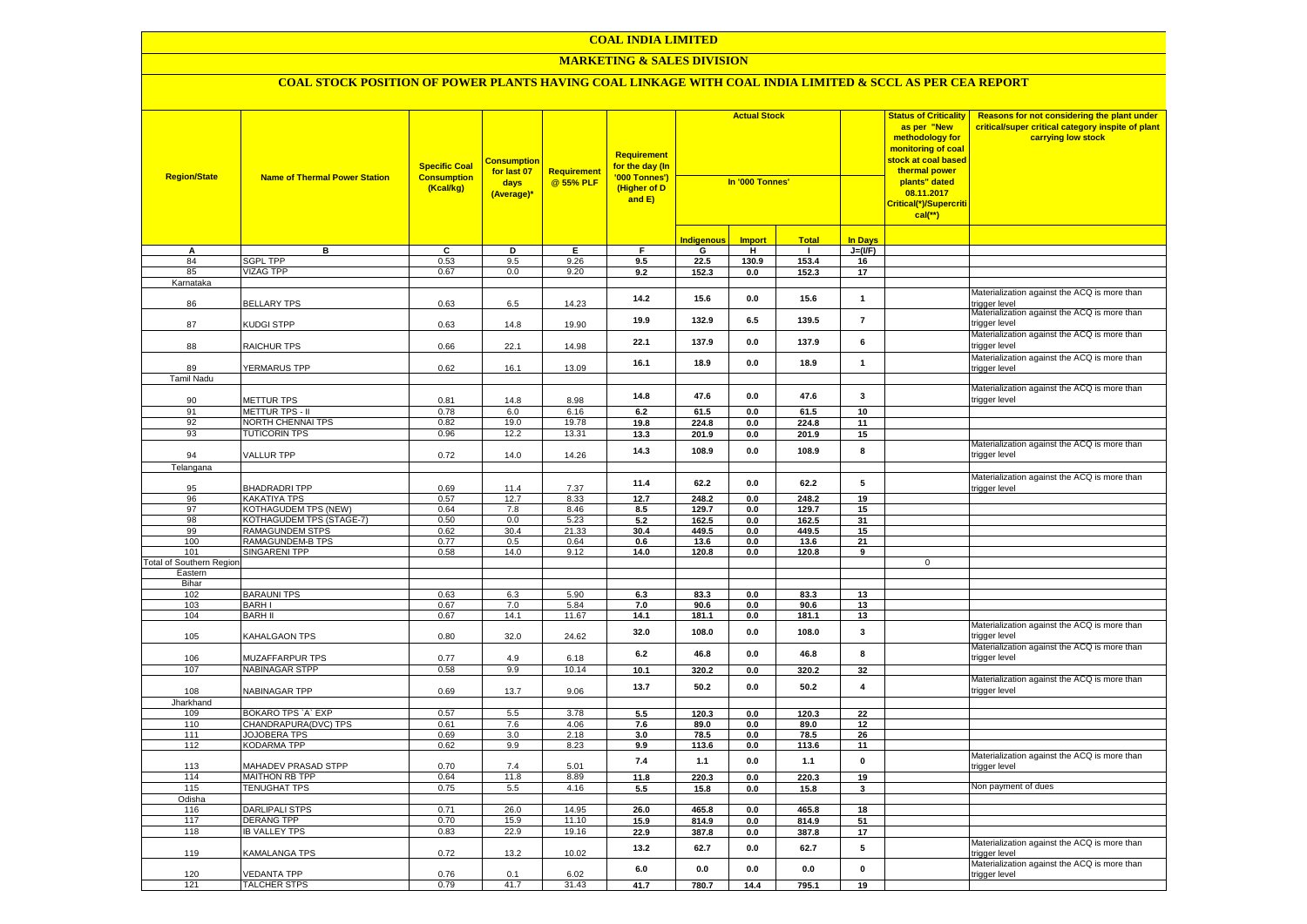#### **MARKETING & SALES DIVISION**

| <b>Indigenous</b><br><b>Import</b><br><b>Total</b><br>In Days<br>в<br>$\overline{c}$<br>Þ<br>E<br>F<br>G<br>Ŧ<br>$J=(VF)$<br>А<br>$\mathbf{I}$<br>84<br><b>SGPL TPP</b><br>0.53<br>9.5<br>9.26<br>153.4<br>9.5<br>22.5<br>130.9<br>16<br><b>VIZAG TPP</b><br>9.20<br>152.3<br>17<br>85<br>0.67<br>$0.0\,$<br>$0.0\,$<br>152.3<br>9.2<br>Karnataka<br>14.2<br>15.6<br>0.0<br>15.6<br>$\mathbf{1}$<br><b>BELLARY TPS</b><br>0.63<br>14.23<br>86<br>6.5<br>rigger level:<br>19.9<br>132.9<br>6.5<br>139.5<br>$\overline{7}$<br>trigger level<br>87<br>KUDGI STPP<br>0.63<br>19.90<br>14.8<br>22.1<br>137.9<br>0.0<br>137.9<br>6<br>88<br>RAICHUR TPS<br>0.66<br>22.1<br>14.98<br>rigger level<br>16.1<br>18.9<br>18.9<br>0.0<br>$\mathbf{1}$<br>YERMARUS TPP<br>0.62<br>13.09<br>89<br>16.1<br>trigger level<br><b>Tamil Nadu</b><br>3<br>14.8<br>47.6<br>0.0<br>47.6<br>trigger level<br><b>METTUR TPS</b><br>8.98<br>90<br>0.81<br>14.8<br>91<br><b>METTUR TPS - II</b><br>0.78<br>6.0<br>6.16<br>6.2<br>61.5<br>0.0<br>61.5<br>10<br>92<br><b>NORTH CHENNAI TPS</b><br>0.82<br>19.0<br>19.78<br>19.8<br>224.8<br>$0.0\,$<br>224.8<br>11<br><b>TUTICORIN TPS</b><br>93<br>0.96<br>12.2<br>13.31<br>13.3<br>201.9<br>0.0<br>201.9<br>15<br>14.3<br>108.9<br>0.0<br>108.9<br>8<br>rigger level<br><b>VALLUR TPP</b><br>0.72<br>14.0<br>14.26<br>94<br>Telangana<br>5<br>11.4<br>62.2<br>0.0<br>62.2 |                                              |
|--------------------------------------------------------------------------------------------------------------------------------------------------------------------------------------------------------------------------------------------------------------------------------------------------------------------------------------------------------------------------------------------------------------------------------------------------------------------------------------------------------------------------------------------------------------------------------------------------------------------------------------------------------------------------------------------------------------------------------------------------------------------------------------------------------------------------------------------------------------------------------------------------------------------------------------------------------------------------------------------------------------------------------------------------------------------------------------------------------------------------------------------------------------------------------------------------------------------------------------------------------------------------------------------------------------------------------------------------------------------------------------------------|----------------------------------------------|
|                                                                                                                                                                                                                                                                                                                                                                                                                                                                                                                                                                                                                                                                                                                                                                                                                                                                                                                                                                                                                                                                                                                                                                                                                                                                                                                                                                                                  |                                              |
|                                                                                                                                                                                                                                                                                                                                                                                                                                                                                                                                                                                                                                                                                                                                                                                                                                                                                                                                                                                                                                                                                                                                                                                                                                                                                                                                                                                                  |                                              |
|                                                                                                                                                                                                                                                                                                                                                                                                                                                                                                                                                                                                                                                                                                                                                                                                                                                                                                                                                                                                                                                                                                                                                                                                                                                                                                                                                                                                  |                                              |
|                                                                                                                                                                                                                                                                                                                                                                                                                                                                                                                                                                                                                                                                                                                                                                                                                                                                                                                                                                                                                                                                                                                                                                                                                                                                                                                                                                                                  |                                              |
|                                                                                                                                                                                                                                                                                                                                                                                                                                                                                                                                                                                                                                                                                                                                                                                                                                                                                                                                                                                                                                                                                                                                                                                                                                                                                                                                                                                                  |                                              |
|                                                                                                                                                                                                                                                                                                                                                                                                                                                                                                                                                                                                                                                                                                                                                                                                                                                                                                                                                                                                                                                                                                                                                                                                                                                                                                                                                                                                  | Materialization against the ACQ is more than |
|                                                                                                                                                                                                                                                                                                                                                                                                                                                                                                                                                                                                                                                                                                                                                                                                                                                                                                                                                                                                                                                                                                                                                                                                                                                                                                                                                                                                  | Materialization against the ACQ is more than |
|                                                                                                                                                                                                                                                                                                                                                                                                                                                                                                                                                                                                                                                                                                                                                                                                                                                                                                                                                                                                                                                                                                                                                                                                                                                                                                                                                                                                  | Materialization against the ACQ is more than |
|                                                                                                                                                                                                                                                                                                                                                                                                                                                                                                                                                                                                                                                                                                                                                                                                                                                                                                                                                                                                                                                                                                                                                                                                                                                                                                                                                                                                  | Materialization against the ACQ is more than |
|                                                                                                                                                                                                                                                                                                                                                                                                                                                                                                                                                                                                                                                                                                                                                                                                                                                                                                                                                                                                                                                                                                                                                                                                                                                                                                                                                                                                  |                                              |
|                                                                                                                                                                                                                                                                                                                                                                                                                                                                                                                                                                                                                                                                                                                                                                                                                                                                                                                                                                                                                                                                                                                                                                                                                                                                                                                                                                                                  | Materialization against the ACQ is more than |
|                                                                                                                                                                                                                                                                                                                                                                                                                                                                                                                                                                                                                                                                                                                                                                                                                                                                                                                                                                                                                                                                                                                                                                                                                                                                                                                                                                                                  |                                              |
|                                                                                                                                                                                                                                                                                                                                                                                                                                                                                                                                                                                                                                                                                                                                                                                                                                                                                                                                                                                                                                                                                                                                                                                                                                                                                                                                                                                                  |                                              |
|                                                                                                                                                                                                                                                                                                                                                                                                                                                                                                                                                                                                                                                                                                                                                                                                                                                                                                                                                                                                                                                                                                                                                                                                                                                                                                                                                                                                  |                                              |
|                                                                                                                                                                                                                                                                                                                                                                                                                                                                                                                                                                                                                                                                                                                                                                                                                                                                                                                                                                                                                                                                                                                                                                                                                                                                                                                                                                                                  | Materialization against the ACQ is more than |
|                                                                                                                                                                                                                                                                                                                                                                                                                                                                                                                                                                                                                                                                                                                                                                                                                                                                                                                                                                                                                                                                                                                                                                                                                                                                                                                                                                                                  |                                              |
|                                                                                                                                                                                                                                                                                                                                                                                                                                                                                                                                                                                                                                                                                                                                                                                                                                                                                                                                                                                                                                                                                                                                                                                                                                                                                                                                                                                                  |                                              |
| <b>BHADRADRITPP</b><br>95<br>11.4                                                                                                                                                                                                                                                                                                                                                                                                                                                                                                                                                                                                                                                                                                                                                                                                                                                                                                                                                                                                                                                                                                                                                                                                                                                                                                                                                                | Materialization against the ACQ is more than |
| 7.37<br>0.69<br>rigger level<br>96<br>KAKATIYA TPS<br>0.57<br>12.7<br>8.33<br>12.7<br>248.2<br>0.0<br>248.2<br>19                                                                                                                                                                                                                                                                                                                                                                                                                                                                                                                                                                                                                                                                                                                                                                                                                                                                                                                                                                                                                                                                                                                                                                                                                                                                                |                                              |
| 97<br>KOTHAGUDEM TPS (NEW)<br>0.64<br>7.8<br>8.46<br>8.5<br>129.7<br>0.0<br>129.7<br>15                                                                                                                                                                                                                                                                                                                                                                                                                                                                                                                                                                                                                                                                                                                                                                                                                                                                                                                                                                                                                                                                                                                                                                                                                                                                                                          |                                              |
| 98<br>KOTHAGUDEM TPS (STAGE-7)<br>0.50<br>$0.0\,$<br>5.23<br>5.2<br>162.5<br>$0.0\,$<br>162.5<br>31                                                                                                                                                                                                                                                                                                                                                                                                                                                                                                                                                                                                                                                                                                                                                                                                                                                                                                                                                                                                                                                                                                                                                                                                                                                                                              |                                              |
| 99<br>RAMAGUNDEM STPS<br>0.62<br>30.4<br>21.33<br>30.4<br>449.5<br>$0.0\,$<br>449.5<br>15                                                                                                                                                                                                                                                                                                                                                                                                                                                                                                                                                                                                                                                                                                                                                                                                                                                                                                                                                                                                                                                                                                                                                                                                                                                                                                        |                                              |
| 100<br>RAMAGUNDEM-B TPS<br>0.77<br>$0.5\,$<br>0.64<br>0.6<br>13.6<br>$0.0\,$<br>13.6<br>21                                                                                                                                                                                                                                                                                                                                                                                                                                                                                                                                                                                                                                                                                                                                                                                                                                                                                                                                                                                                                                                                                                                                                                                                                                                                                                       |                                              |
| SINGARENI TPP<br>101<br>0.58<br>14.0<br>9.12<br>14.0<br>120.8<br>120.8<br>0.0<br>9                                                                                                                                                                                                                                                                                                                                                                                                                                                                                                                                                                                                                                                                                                                                                                                                                                                                                                                                                                                                                                                                                                                                                                                                                                                                                                               |                                              |
| <b>Total of Southern Region</b><br>$\mathbf{0}$                                                                                                                                                                                                                                                                                                                                                                                                                                                                                                                                                                                                                                                                                                                                                                                                                                                                                                                                                                                                                                                                                                                                                                                                                                                                                                                                                  |                                              |
| Eastern                                                                                                                                                                                                                                                                                                                                                                                                                                                                                                                                                                                                                                                                                                                                                                                                                                                                                                                                                                                                                                                                                                                                                                                                                                                                                                                                                                                          |                                              |
| Bihar                                                                                                                                                                                                                                                                                                                                                                                                                                                                                                                                                                                                                                                                                                                                                                                                                                                                                                                                                                                                                                                                                                                                                                                                                                                                                                                                                                                            |                                              |
| 102<br><b>BARAUNI TPS</b><br>0.63<br>6.3<br>5.90<br>83.3<br>0.0<br>83.3<br>13<br>6.3<br>103<br><b>BARHI</b><br>0.67<br>7.0<br>5.84<br>13<br>7.0<br>90.6<br>0.0<br>90.6                                                                                                                                                                                                                                                                                                                                                                                                                                                                                                                                                                                                                                                                                                                                                                                                                                                                                                                                                                                                                                                                                                                                                                                                                           |                                              |
| <b>BARH II</b><br>14.1<br>11.67<br>104<br>0.67<br>14.1<br>181.1<br>181.1<br>13<br>0.0                                                                                                                                                                                                                                                                                                                                                                                                                                                                                                                                                                                                                                                                                                                                                                                                                                                                                                                                                                                                                                                                                                                                                                                                                                                                                                            |                                              |
| 32.0<br>108.0<br>0.0<br>108.0<br>3<br>KAHALGAON TPS<br>rigger level<br>105<br>0.80<br>32.0<br>24.62                                                                                                                                                                                                                                                                                                                                                                                                                                                                                                                                                                                                                                                                                                                                                                                                                                                                                                                                                                                                                                                                                                                                                                                                                                                                                              | Materialization against the ACQ is more than |
| 8<br>6.2<br>46.8<br>0.0<br>46.8                                                                                                                                                                                                                                                                                                                                                                                                                                                                                                                                                                                                                                                                                                                                                                                                                                                                                                                                                                                                                                                                                                                                                                                                                                                                                                                                                                  | Materialization against the ACQ is more than |
| trigger level<br>106<br>MUZAFFARPUR TPS<br>0.77<br>4.9<br>6.18                                                                                                                                                                                                                                                                                                                                                                                                                                                                                                                                                                                                                                                                                                                                                                                                                                                                                                                                                                                                                                                                                                                                                                                                                                                                                                                                   |                                              |
| 107<br><b>NABINAGAR STPP</b><br>9.9<br>0.58<br>10.14<br>10.1<br>320.2<br>$\mathbf{0.0}$<br>320.2<br>32                                                                                                                                                                                                                                                                                                                                                                                                                                                                                                                                                                                                                                                                                                                                                                                                                                                                                                                                                                                                                                                                                                                                                                                                                                                                                           |                                              |
| 13.7<br>50.2<br>$0.0\,$<br>50.2<br>$\overline{\mathbf{4}}$<br>trigger level<br>NABINAGAR TPP<br>0.69<br>9.06<br>108<br>13.7                                                                                                                                                                                                                                                                                                                                                                                                                                                                                                                                                                                                                                                                                                                                                                                                                                                                                                                                                                                                                                                                                                                                                                                                                                                                      | Materialization against the ACQ is more than |
| Jharkhand                                                                                                                                                                                                                                                                                                                                                                                                                                                                                                                                                                                                                                                                                                                                                                                                                                                                                                                                                                                                                                                                                                                                                                                                                                                                                                                                                                                        |                                              |
| 109<br><b>BOKARO TPS `A` EXP</b><br>0.57<br>5.5<br>3.78<br>5.5<br>120.3<br>0.0<br>120.3<br>22                                                                                                                                                                                                                                                                                                                                                                                                                                                                                                                                                                                                                                                                                                                                                                                                                                                                                                                                                                                                                                                                                                                                                                                                                                                                                                    |                                              |
| 110<br>CHANDRAPURA(DVC) TPS<br>0.61<br>7.6<br>4.06<br>7.6<br>89.0<br>0.0<br>89.0<br>12<br>111<br><b>JOJOBERA TPS</b><br>0.69<br>3.0<br>2.18<br>78.5<br>26<br>3.0<br>78.5<br>0.0                                                                                                                                                                                                                                                                                                                                                                                                                                                                                                                                                                                                                                                                                                                                                                                                                                                                                                                                                                                                                                                                                                                                                                                                                  |                                              |
| 112<br><b>KODARMA TPP</b><br>9.9<br>8.23<br>0.62<br>9.9<br>113.6<br>0.0<br>113.6<br>11                                                                                                                                                                                                                                                                                                                                                                                                                                                                                                                                                                                                                                                                                                                                                                                                                                                                                                                                                                                                                                                                                                                                                                                                                                                                                                           |                                              |
| 7.4<br>1.1<br>0.0<br>1.1<br>0                                                                                                                                                                                                                                                                                                                                                                                                                                                                                                                                                                                                                                                                                                                                                                                                                                                                                                                                                                                                                                                                                                                                                                                                                                                                                                                                                                    | Materialization against the ACQ is more than |
| MAHADEV PRASAD STPP<br>0.70<br>5.01<br>113<br>7.4<br>trigger level<br>114<br><b>MAITHON RB TPP</b><br>0.64<br>11.8<br>8.89<br>220.3<br>11.8<br>0.0<br>220.3<br>19                                                                                                                                                                                                                                                                                                                                                                                                                                                                                                                                                                                                                                                                                                                                                                                                                                                                                                                                                                                                                                                                                                                                                                                                                                |                                              |
| 115<br><b>TENUGHAT TPS</b><br>0.75<br>5.5<br>4.16<br>$5.5$<br>15.8<br>15.8<br>3<br>0.0                                                                                                                                                                                                                                                                                                                                                                                                                                                                                                                                                                                                                                                                                                                                                                                                                                                                                                                                                                                                                                                                                                                                                                                                                                                                                                           | Non payment of dues                          |
| Odisha                                                                                                                                                                                                                                                                                                                                                                                                                                                                                                                                                                                                                                                                                                                                                                                                                                                                                                                                                                                                                                                                                                                                                                                                                                                                                                                                                                                           |                                              |
| DARLIPALI STPS<br>26.0<br>465.8<br>465.8<br>116<br>0.71<br>26.0<br>14.95<br>0.0<br>18                                                                                                                                                                                                                                                                                                                                                                                                                                                                                                                                                                                                                                                                                                                                                                                                                                                                                                                                                                                                                                                                                                                                                                                                                                                                                                            |                                              |
| 117<br>11.10<br><b>DERANG TPP</b><br>0.70<br>15.9<br>15.9<br>814.9<br>0.0<br>814.9<br>51                                                                                                                                                                                                                                                                                                                                                                                                                                                                                                                                                                                                                                                                                                                                                                                                                                                                                                                                                                                                                                                                                                                                                                                                                                                                                                         |                                              |
| 118<br><b>IB VALLEY TPS</b><br>0.83<br>22.9<br>19.16<br>22.9<br>387.8<br>$0.0\,$<br>387.8<br>17                                                                                                                                                                                                                                                                                                                                                                                                                                                                                                                                                                                                                                                                                                                                                                                                                                                                                                                                                                                                                                                                                                                                                                                                                                                                                                  |                                              |
| 13.2<br>62.7<br>5<br>62.7<br>0.0<br>119<br><b>KAMALANGA TPS</b><br>0.72<br>13.2<br>10.02<br>rigger level                                                                                                                                                                                                                                                                                                                                                                                                                                                                                                                                                                                                                                                                                                                                                                                                                                                                                                                                                                                                                                                                                                                                                                                                                                                                                         |                                              |
| $6.0\,$<br>0.0<br>0.0<br>0.0<br>$\mathbf 0$<br><b>VEDANTA TPP</b><br>trigger level<br>120<br>0.76<br>6.02<br>0.1                                                                                                                                                                                                                                                                                                                                                                                                                                                                                                                                                                                                                                                                                                                                                                                                                                                                                                                                                                                                                                                                                                                                                                                                                                                                                 | Materialization against the ACQ is more than |
| 41.7<br>780.7<br>121<br><b>TALCHER STPS</b><br>0.79<br>41.7<br>31.43<br>14.4<br>795.1<br>19                                                                                                                                                                                                                                                                                                                                                                                                                                                                                                                                                                                                                                                                                                                                                                                                                                                                                                                                                                                                                                                                                                                                                                                                                                                                                                      | Materialization against the ACQ is more than |